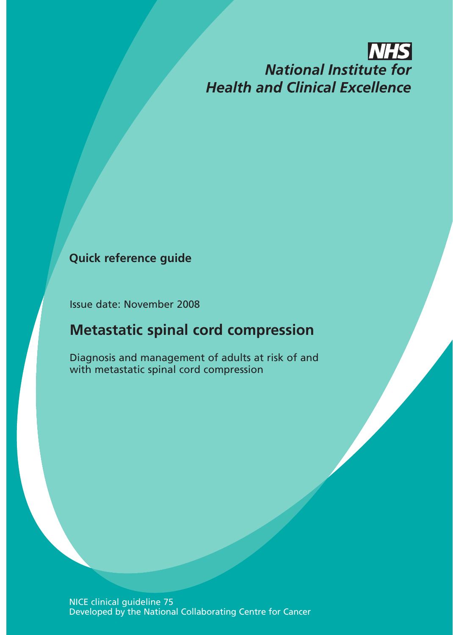# **NHS National Institute for Health and Clinical Excellence**

### **Quick reference guide**

Issue date: November 2008

## **Metastatic spinal cord compression**

Diagnosis and management of adults at risk of and with metastatic spinal cord compression

 NICE clinical guideline 75 Developed by the National Collaborating Centre for Cancer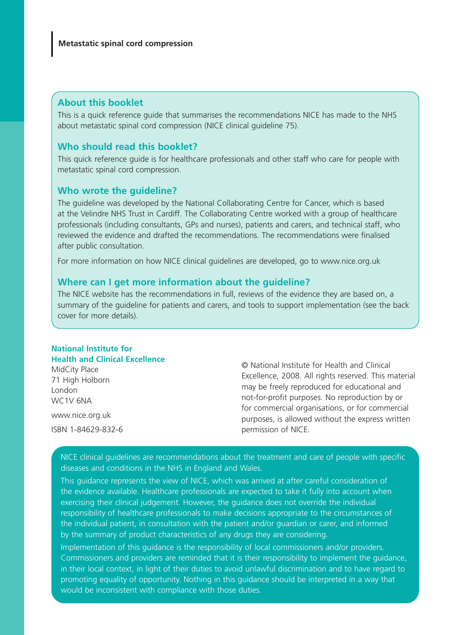#### **About this booklet**

This is a quick reference guide that summarises the recommendations NICE has made to the NHS about metastatic spinal cord compression (NICE clinical guideline 75).

#### **Who should read this booklet?**

This quick reference guide is for healthcare professionals and other staff who care for people with metastatic spinal cord compression.

#### **Who wrote the guideline?**

The guideline was developed by the National Collaborating Centre for Cancer, which is based at the Velindre NHS Trust in Cardiff. The Collaborating Centre worked with a group of healthcare professionals (including consultants, GPs and nurses), patients and carers, and technical staff, who reviewed the evidence and drafted the recommendations. The recommendations were finalised after public consultation.

For more information on how NICE clinical guidelines are developed, go to www.nice.org.uk

#### **Where can I get more information about the guideline?**

The NICE website has the recommendations in full, reviews of the evidence they are based on, a summary of the guideline for patients and carers, and tools to support implementation (see the back cover for more details).

#### **National Institute for Health and Clinical Excellence**

MidCity Place 71 High Holborn London WC1V 6NA

www.nice.org.uk ISBN 1-84629-832-6

© National Institute for Health and Clinical Excellence, 2008. All rights reserved. This material may be freely reproduced for educational and not-for-profit purposes. No reproduction by or for commercial organisations, or for commercial purposes, is allowed without the express written permission of NICE.

NICE clinical guidelines are recommendations about the treatment and care of people with specific diseases and conditions in the NHS in England and Wales.

This guidance represents the view of NICE, which was arrived at after careful consideration of the evidence available. Healthcare professionals are expected to take it fully into account when exercising their clinical judgement. However, the guidance does not override the individual responsibility of healthcare professionals to make decisions appropriate to the circumstances of the individual patient, in consultation with the patient and/or guardian or carer, and informed by the summary of product characteristics of any drugs they are considering.

Implementation of this guidance is the responsibility of local commissioners and/or providers. Commissioners and providers are reminded that it is their responsibility to implement the guidance, in their local context, in light of their duties to avoid unlawful discrimination and to have regard to promoting equality of opportunity. Nothing in this guidance should be interpreted in a way that would be inconsistent with compliance with those duties.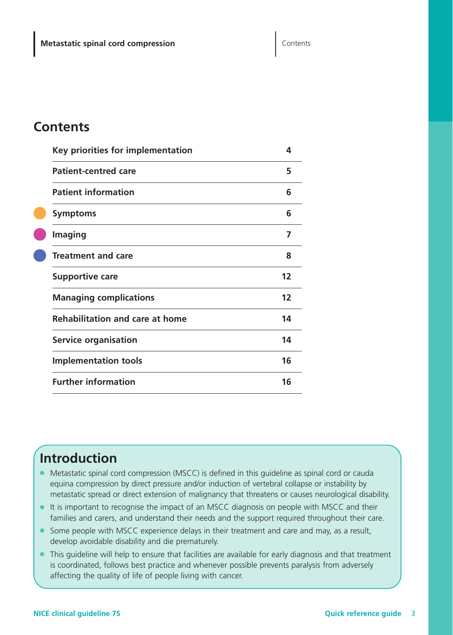### **Contents**

| Key priorities for implementation      | 4  |
|----------------------------------------|----|
| <b>Patient-centred care</b>            | 5  |
| <b>Patient information</b>             | 6  |
| <b>Symptoms</b>                        | 6  |
| <b>Imaging</b>                         | 7  |
| <b>Treatment and care</b>              | 8  |
| <b>Supportive care</b>                 | 12 |
| <b>Managing complications</b>          | 12 |
| <b>Rehabilitation and care at home</b> | 14 |
| <b>Service organisation</b>            | 14 |
| <b>Implementation tools</b>            | 16 |
| <b>Further information</b>             | 16 |

## **Introduction**

- Metastatic spinal cord compression (MSCC) is defined in this quideline as spinal cord or cauda equina compression by direct pressure and/or induction of vertebral collapse or instability by metastatic spread or direct extension of malignancy that threatens or causes neurological disability.
- It is important to recognise the impact of an MSCC diagnosis on people with MSCC and their families and carers, and understand their needs and the support required throughout their care.
- Some people with MSCC experience delays in their treatment and care and may, as a result, develop avoidable disability and die prematurely.
- This guideline will help to ensure that facilities are available for early diagnosis and that treatment is coordinated, follows best practice and whenever possible prevents paralysis from adversely affecting the quality of life of people living with cancer.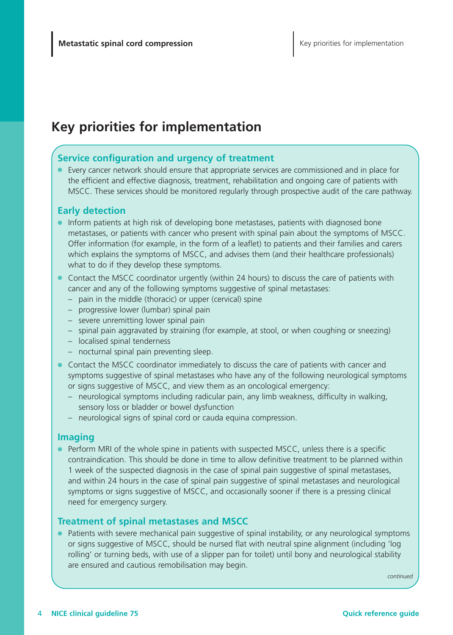## **Key priorities for implementation**

#### **Service configuration and urgency of treatment**

● Every cancer network should ensure that appropriate services are commissioned and in place for the efficient and effective diagnosis, treatment, rehabilitation and ongoing care of patients with MSCC. These services should be monitored regularly through prospective audit of the care pathway.

### **Early detection**

- Inform patients at high risk of developing bone metastases, patients with diagnosed bone metastases, or patients with cancer who present with spinal pain about the symptoms of MSCC. Offer information (for example, in the form of a leaflet) to patients and their families and carers which explains the symptoms of MSCC, and advises them (and their healthcare professionals) what to do if they develop these symptoms.
- Contact the MSCC coordinator urgently (within 24 hours) to discuss the care of patients with cancer and any of the following symptoms suggestive of spinal metastases:
	- pain in the middle (thoracic) or upper (cervical) spine
	- progressive lower (lumbar) spinal pain
	- severe unremitting lower spinal pain
	- spinal pain aggravated by straining (for example, at stool, or when coughing or sneezing)
	- localised spinal tenderness
	- nocturnal spinal pain preventing sleep.
- Contact the MSCC coordinator immediately to discuss the care of patients with cancer and symptoms suggestive of spinal metastases who have any of the following neurological symptoms or signs suggestive of MSCC, and view them as an oncological emergency:
	- neurological symptoms including radicular pain, any limb weakness, difficulty in walking, sensory loss or bladder or bowel dysfunction
	- neurological signs of spinal cord or cauda equina compression.

#### **Imaging**

● Perform MRI of the whole spine in patients with suspected MSCC, unless there is a specific contraindication. This should be done in time to allow definitive treatment to be planned within 1 week of the suspected diagnosis in the case of spinal pain suggestive of spinal metastases, and within 24 hours in the case of spinal pain suggestive of spinal metastases and neurological symptoms or signs suggestive of MSCC, and occasionally sooner if there is a pressing clinical need for emergency surgery.

### **Treatment of spinal metastases and MSCC**

● Patients with severe mechanical pain suggestive of spinal instability, or any neurological symptoms or signs suggestive of MSCC, should be nursed flat with neutral spine alignment (including 'log rolling' or turning beds, with use of a slipper pan for toilet) until bony and neurological stability are ensured and cautious remobilisation may begin.

*continued*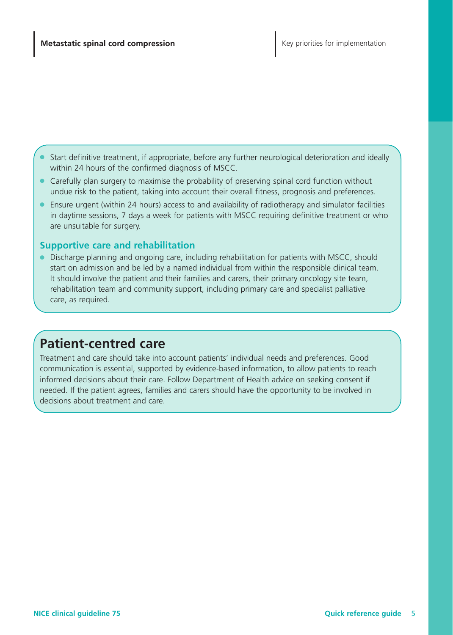Start definitive treatment, if appropriate, before any further neurological deterioration and ideally within 24 hours of the confirmed diagnosis of MSCC.

- Carefully plan surgery to maximise the probability of preserving spinal cord function without undue risk to the patient, taking into account their overall fitness, prognosis and preferences.
- Ensure urgent (within 24 hours) access to and availability of radiotherapy and simulator facilities in daytime sessions, 7 days a week for patients with MSCC requiring definitive treatment or who are unsuitable for surgery.

#### **Supportive care and rehabilitation**

● Discharge planning and ongoing care, including rehabilitation for patients with MSCC, should start on admission and be led by a named individual from within the responsible clinical team. It should involve the patient and their families and carers, their primary oncology site team, rehabilitation team and community support, including primary care and specialist palliative care, as required.

### **Patient-centred care**

Treatment and care should take into account patients' individual needs and preferences. Good communication is essential, supported by evidence-based information, to allow patients to reach informed decisions about their care. Follow Department of Health advice on seeking consent if needed. If the patient agrees, families and carers should have the opportunity to be involved in decisions about treatment and care.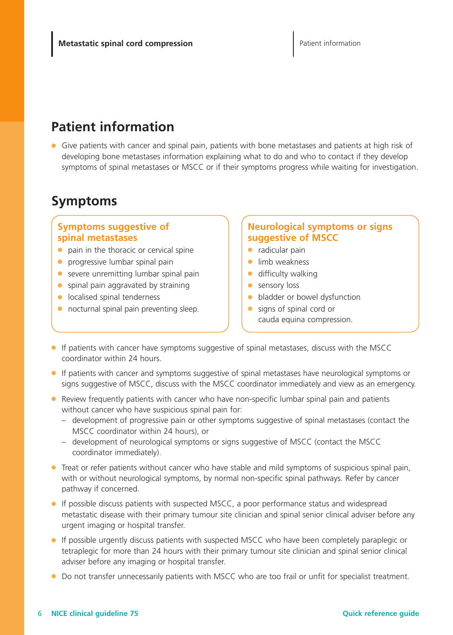## **Patient information**

● Give patients with cancer and spinal pain, patients with bone metastases and patients at high risk of developing bone metastases information explaining what to do and who to contact if they develop symptoms of spinal metastases or MSCC or if their symptoms progress while waiting for investigation.

## **Symptoms**

#### **Symptoms suggestive of spinal metastases**

- pain in the thoracic or cervical spine
- progressive lumbar spinal pain
- severe unremitting lumbar spinal pain
- spinal pain aggravated by straining
- localised spinal tenderness
- nocturnal spinal pain preventing sleep.

### **Neurological symptoms or signs suggestive of MSCC**

- radicular pain
- limb weakness
- difficulty walking
- **•** sensory loss
- bladder or bowel dysfunction
- signs of spinal cord or cauda equina compression.
- If patients with cancer have symptoms suggestive of spinal metastases, discuss with the MSCC coordinator within 24 hours.
- If patients with cancer and symptoms suggestive of spinal metastases have neurological symptoms or signs suggestive of MSCC, discuss with the MSCC coordinator immediately and view as an emergency.
- Review frequently patients with cancer who have non-specific lumbar spinal pain and patients without cancer who have suspicious spinal pain for:
	- development of progressive pain or other symptoms suggestive of spinal metastases (contact the MSCC coordinator within 24 hours), or
	- development of neurological symptoms or signs suggestive of MSCC (contact the MSCC coordinator immediately).
- Treat or refer patients without cancer who have stable and mild symptoms of suspicious spinal pain, with or without neurological symptoms, by normal non-specific spinal pathways. Refer by cancer pathway if concerned.
- If possible discuss patients with suspected MSCC, a poor performance status and widespread metastatic disease with their primary tumour site clinician and spinal senior clinical adviser before any urgent imaging or hospital transfer.
- If possible urgently discuss patients with suspected MSCC who have been completely paraplegic or tetraplegic for more than 24 hours with their primary tumour site clinician and spinal senior clinical adviser before any imaging or hospital transfer.
- Do not transfer unnecessarily patients with MSCC who are too frail or unfit for specialist treatment.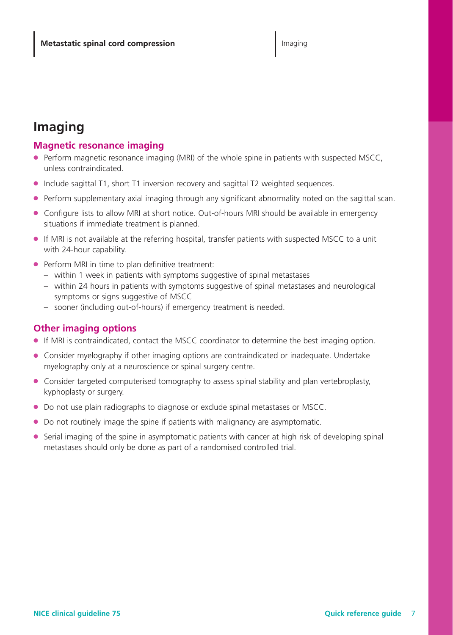## **Imaging**

### **Magnetic resonance imaging**

- Perform magnetic resonance imaging (MRI) of the whole spine in patients with suspected MSCC, unless contraindicated.
- Include sagittal T1, short T1 inversion recovery and sagittal T2 weighted sequences.
- Perform supplementary axial imaging through any significant abnormality noted on the sagittal scan.
- Configure lists to allow MRI at short notice. Out-of-hours MRI should be available in emergency situations if immediate treatment is planned.
- If MRI is not available at the referring hospital, transfer patients with suspected MSCC to a unit with 24-hour capability.
- Perform MRI in time to plan definitive treatment:
	- within 1 week in patients with symptoms suggestive of spinal metastases
	- within 24 hours in patients with symptoms suggestive of spinal metastases and neurological symptoms or signs suggestive of MSCC
	- sooner (including out-of-hours) if emergency treatment is needed.

### **Other imaging options**

- If MRI is contraindicated, contact the MSCC coordinator to determine the best imaging option.
- Consider myelography if other imaging options are contraindicated or inadequate. Undertake myelography only at a neuroscience or spinal surgery centre.
- Consider targeted computerised tomography to assess spinal stability and plan vertebroplasty, kyphoplasty or surgery.
- Do not use plain radiographs to diagnose or exclude spinal metastases or MSCC.
- Do not routinely image the spine if patients with malignancy are asymptomatic.
- Serial imaging of the spine in asymptomatic patients with cancer at high risk of developing spinal metastases should only be done as part of a randomised controlled trial.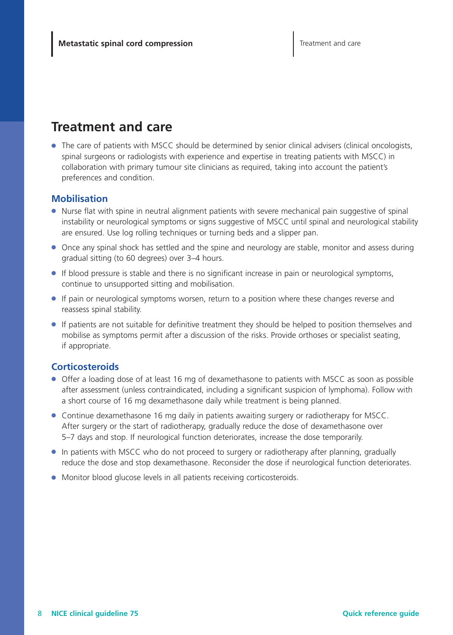## **Treatment and care**

● The care of patients with MSCC should be determined by senior clinical advisers (clinical oncologists, spinal surgeons or radiologists with experience and expertise in treating patients with MSCC) in collaboration with primary tumour site clinicians as required, taking into account the patient's preferences and condition.

#### **Mobilisation**

- Nurse flat with spine in neutral alignment patients with severe mechanical pain suggestive of spinal instability or neurological symptoms or signs suggestive of MSCC until spinal and neurological stability are ensured. Use log rolling techniques or turning beds and a slipper pan.
- Once any spinal shock has settled and the spine and neurology are stable, monitor and assess during gradual sitting (to 60 degrees) over 3–4 hours.
- If blood pressure is stable and there is no significant increase in pain or neurological symptoms, continue to unsupported sitting and mobilisation.
- If pain or neurological symptoms worsen, return to a position where these changes reverse and reassess spinal stability.
- If patients are not suitable for definitive treatment they should be helped to position themselves and mobilise as symptoms permit after a discussion of the risks. Provide orthoses or specialist seating, if appropriate.

#### **Corticosteroids**

- Offer a loading dose of at least 16 mg of dexamethasone to patients with MSCC as soon as possible after assessment (unless contraindicated, including a significant suspicion of lymphoma). Follow with a short course of 16 mg dexamethasone daily while treatment is being planned.
- Continue dexamethasone 16 mg daily in patients awaiting surgery or radiotherapy for MSCC. After surgery or the start of radiotherapy, gradually reduce the dose of dexamethasone over 5–7 days and stop. If neurological function deteriorates, increase the dose temporarily.
- In patients with MSCC who do not proceed to surgery or radiotherapy after planning, gradually reduce the dose and stop dexamethasone. Reconsider the dose if neurological function deteriorates.
- Monitor blood glucose levels in all patients receiving corticosteroids.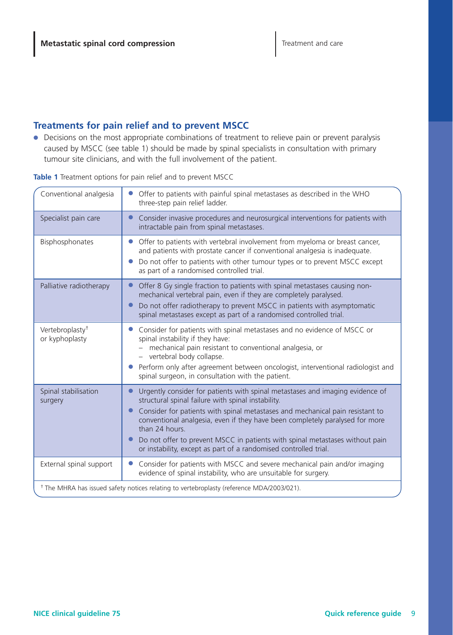### **Treatments for pain relief and to prevent MSCC**

● Decisions on the most appropriate combinations of treatment to relieve pain or prevent paralysis caused by MSCC (see table 1) should be made by spinal specialists in consultation with primary tumour site clinicians, and with the full involvement of the patient.

| Conventional analgesia                        | Offer to patients with painful spinal metastases as described in the WHO<br>three-step pain relief ladder.                                                                                                                                                                                                                                                                                                                                                                 |
|-----------------------------------------------|----------------------------------------------------------------------------------------------------------------------------------------------------------------------------------------------------------------------------------------------------------------------------------------------------------------------------------------------------------------------------------------------------------------------------------------------------------------------------|
| Specialist pain care                          | Consider invasive procedures and neurosurgical interventions for patients with<br>intractable pain from spinal metastases.                                                                                                                                                                                                                                                                                                                                                 |
| Bisphosphonates                               | Offer to patients with vertebral involvement from myeloma or breast cancer,<br>and patients with prostate cancer if conventional analgesia is inadequate.<br>Do not offer to patients with other tumour types or to prevent MSCC except<br>as part of a randomised controlled trial.                                                                                                                                                                                       |
| Palliative radiotherapy                       | Offer 8 Gy single fraction to patients with spinal metastases causing non-<br>mechanical vertebral pain, even if they are completely paralysed.<br>Do not offer radiotherapy to prevent MSCC in patients with asymptomatic<br>spinal metastases except as part of a randomised controlled trial.                                                                                                                                                                           |
| Vertebroplasty <sup>†</sup><br>or kyphoplasty | Consider for patients with spinal metastases and no evidence of MSCC or<br>spinal instability if they have:<br>mechanical pain resistant to conventional analgesia, or<br>- vertebral body collapse.<br>Perform only after agreement between oncologist, interventional radiologist and<br>spinal surgeon, in consultation with the patient.                                                                                                                               |
| Spinal stabilisation<br>surgery               | Urgently consider for patients with spinal metastases and imaging evidence of<br>structural spinal failure with spinal instability.<br>Consider for patients with spinal metastases and mechanical pain resistant to<br>conventional analgesia, even if they have been completely paralysed for more<br>than 24 hours.<br>Do not offer to prevent MSCC in patients with spinal metastases without pain<br>or instability, except as part of a randomised controlled trial. |
| External spinal support                       | Consider for patients with MSCC and severe mechanical pain and/or imaging<br>evidence of spinal instability, who are unsuitable for surgery.                                                                                                                                                                                                                                                                                                                               |
|                                               | <sup>†</sup> The MHRA has issued safety notices relating to vertebroplasty (reference MDA/2003/021).                                                                                                                                                                                                                                                                                                                                                                       |

**Table 1** Treatment options for pain relief and to prevent MSCC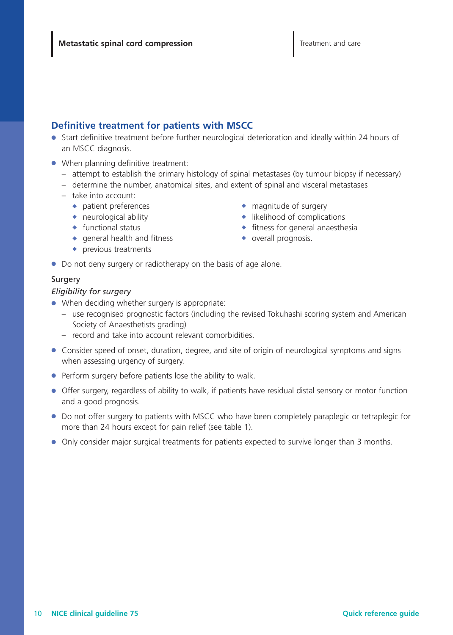### **Definitive treatment for patients with MSCC**

- Start definitive treatment before further neurological deterioration and ideally within 24 hours of an MSCC diagnosis.
- When planning definitive treatment:
	- attempt to establish the primary histology of spinal metastases (by tumour biopsy if necessary)
	- determine the number, anatomical sites, and extent of spinal and visceral metastases
	- take into account:
		- ◆ patient preferences
		- $\leftrightarrow$  neurological ability
		- ◆ functional status
		- $\bullet$  general health and fitness
		- ◆ previous treatments
- ◆ magnitude of surgery
- ◆ likelihood of complications
- $\bullet$  fitness for general anaesthesia
- ◆ overall prognosis.
- Do not deny surgery or radiotherapy on the basis of age alone.

#### Surgery

#### *Eligibility for surgery*

- When deciding whether surgery is appropriate:
	- use recognised prognostic factors (including the revised Tokuhashi scoring system and American Society of Anaesthetists grading)
	- record and take into account relevant comorbidities.
- Consider speed of onset, duration, degree, and site of origin of neurological symptoms and signs when assessing urgency of surgery.
- Perform surgery before patients lose the ability to walk.
- Offer surgery, regardless of ability to walk, if patients have residual distal sensory or motor function and a good prognosis.
- Do not offer surgery to patients with MSCC who have been completely paraplegic or tetraplegic for more than 24 hours except for pain relief (see table 1).
- Only consider major surgical treatments for patients expected to survive longer than 3 months.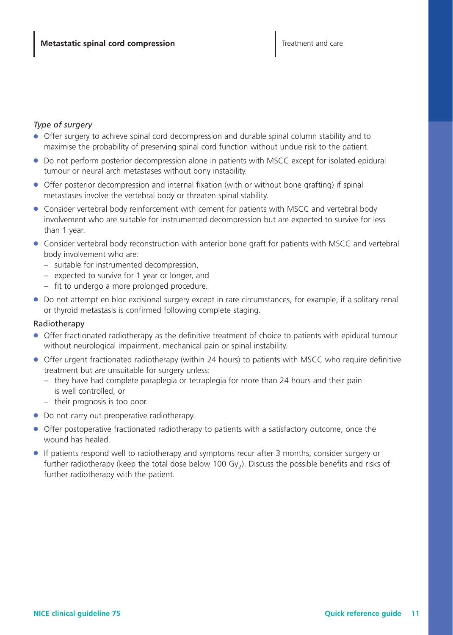#### *Type of surgery*

- Offer surgery to achieve spinal cord decompression and durable spinal column stability and to maximise the probability of preserving spinal cord function without undue risk to the patient.
- Do not perform posterior decompression alone in patients with MSCC except for isolated epidural tumour or neural arch metastases without bony instability.
- Offer posterior decompression and internal fixation (with or without bone grafting) if spinal metastases involve the vertebral body or threaten spinal stability.
- Consider vertebral body reinforcement with cement for patients with MSCC and vertebral body involvement who are suitable for instrumented decompression but are expected to survive for less than 1 year.
- Consider vertebral body reconstruction with anterior bone graft for patients with MSCC and vertebral body involvement who are:
	- suitable for instrumented decompression,
	- expected to survive for 1 year or longer, and
	- fit to undergo a more prolonged procedure.
- Do not attempt en bloc excisional surgery except in rare circumstances, for example, if a solitary renal or thyroid metastasis is confirmed following complete staging.

#### Radiotherapy

- Offer fractionated radiotherapy as the definitive treatment of choice to patients with epidural tumour without neurological impairment, mechanical pain or spinal instability.
- Offer urgent fractionated radiotherapy (within 24 hours) to patients with MSCC who require definitive treatment but are unsuitable for surgery unless:
	- they have had complete paraplegia or tetraplegia for more than 24 hours and their pain is well controlled, or
	- their prognosis is too poor.
- Do not carry out preoperative radiotherapy.
- Offer postoperative fractionated radiotherapy to patients with a satisfactory outcome, once the wound has healed.
- If patients respond well to radiotherapy and symptoms recur after 3 months, consider surgery or further radiotherapy (keep the total dose below 100 Gy<sub>2</sub>). Discuss the possible benefits and risks of further radiotherapy with the patient.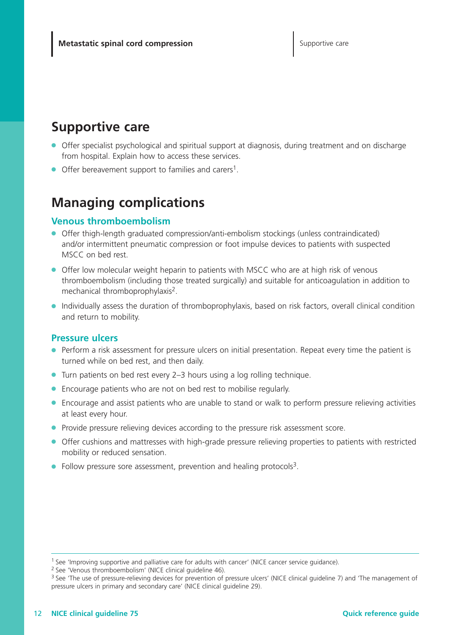### **Supportive care**

- Offer specialist psychological and spiritual support at diagnosis, during treatment and on discharge from hospital. Explain how to access these services.
- $\bullet$  Offer bereavement support to families and carers<sup>1</sup>.

## **Managing complications**

#### **Venous thromboembolism**

- Offer thigh-length graduated compression/anti-embolism stockings (unless contraindicated) and/or intermittent pneumatic compression or foot impulse devices to patients with suspected MSCC on bed rest.
- Offer low molecular weight heparin to patients with MSCC who are at high risk of venous thromboembolism (including those treated surgically) and suitable for anticoagulation in addition to mechanical thromboprophylaxis2.
- Individually assess the duration of thromboprophylaxis, based on risk factors, overall clinical condition and return to mobility.

#### **Pressure ulcers**

- Perform a risk assessment for pressure ulcers on initial presentation. Repeat every time the patient is turned while on bed rest, and then daily.
- Turn patients on bed rest every 2–3 hours using a log rolling technique.
- Encourage patients who are not on bed rest to mobilise regularly.
- Encourage and assist patients who are unable to stand or walk to perform pressure relieving activities at least every hour.
- Provide pressure relieving devices according to the pressure risk assessment score.
- Offer cushions and mattresses with high-grade pressure relieving properties to patients with restricted mobility or reduced sensation.
- Follow pressure sore assessment, prevention and healing protocols<sup>3</sup>.

<sup>1</sup> See 'Improving supportive and palliative care for adults with cancer' (NICE cancer service guidance).

<sup>2</sup> See 'Venous thromboembolism' (NICE clinical guideline 46).

<sup>&</sup>lt;sup>3</sup> See 'The use of pressure-relieving devices for prevention of pressure ulcers' (NICE clinical guideline 7) and 'The management of pressure ulcers in primary and secondary care' (NICE clinical guideline 29).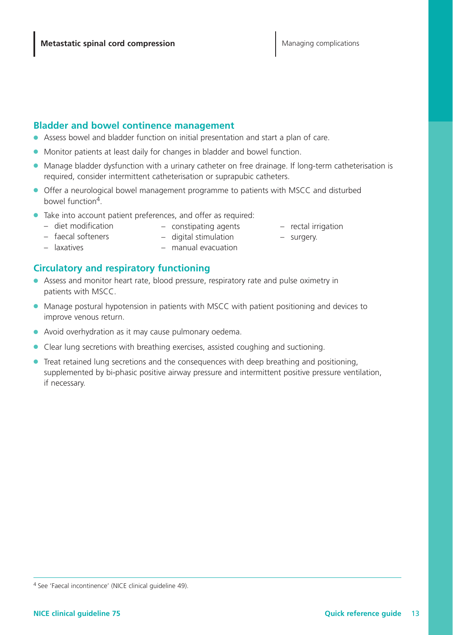#### **Bladder and bowel continence management**

- Assess bowel and bladder function on initial presentation and start a plan of care.
- Monitor patients at least daily for changes in bladder and bowel function.
- Manage bladder dysfunction with a urinary catheter on free drainage. If long-term catheterisation is required, consider intermittent catheterisation or suprapubic catheters.
- Offer a neurological bowel management programme to patients with MSCC and disturbed bowel function4.
- Take into account patient preferences, and offer as required:
	- diet modification
- constipating agents
- rectal irrigation – surgery.
- faecal softeners – laxatives
- digital stimulation – manual evacuation

### **Circulatory and respiratory functioning**

- Assess and monitor heart rate, blood pressure, respiratory rate and pulse oximetry in patients with MSCC.
- Manage postural hypotension in patients with MSCC with patient positioning and devices to improve venous return.
- Avoid overhydration as it may cause pulmonary oedema.
- Clear lung secretions with breathing exercises, assisted coughing and suctioning.
- Treat retained lung secretions and the consequences with deep breathing and positioning, supplemented by bi-phasic positive airway pressure and intermittent positive pressure ventilation, if necessary.

<sup>4</sup> See 'Faecal incontinence' (NICE clinical guideline 49).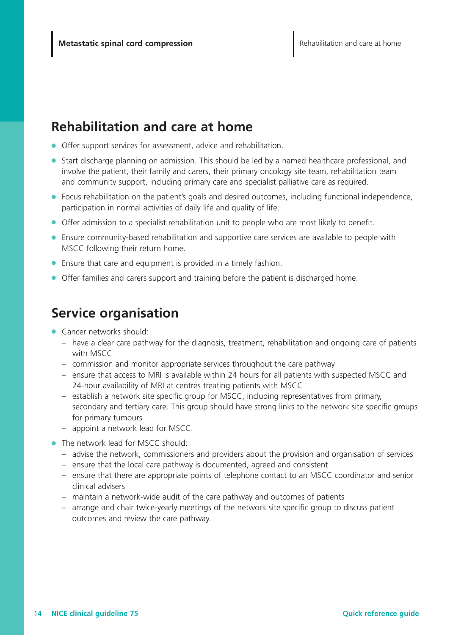## **Rehabilitation and care at home**

- Offer support services for assessment, advice and rehabilitation.
- Start discharge planning on admission. This should be led by a named healthcare professional, and involve the patient, their family and carers, their primary oncology site team, rehabilitation team and community support, including primary care and specialist palliative care as required.
- Focus rehabilitation on the patient's goals and desired outcomes, including functional independence, participation in normal activities of daily life and quality of life.
- Offer admission to a specialist rehabilitation unit to people who are most likely to benefit.
- Ensure community-based rehabilitation and supportive care services are available to people with MSCC following their return home.
- Ensure that care and equipment is provided in a timely fashion.
- Offer families and carers support and training before the patient is discharged home.

### **Service organisation**

- Cancer networks should:
	- have a clear care pathway for the diagnosis, treatment, rehabilitation and ongoing care of patients with MSCC
	- commission and monitor appropriate services throughout the care pathway
	- ensure that access to MRI is available within 24 hours for all patients with suspected MSCC and 24-hour availability of MRI at centres treating patients with MSCC
	- establish a network site specific group for MSCC, including representatives from primary, secondary and tertiary care. This group should have strong links to the network site specific groups for primary tumours
	- appoint a network lead for MSCC.
- The network lead for MSCC should:
	- advise the network, commissioners and providers about the provision and organisation of services
	- ensure that the local care pathway is documented, agreed and consistent
	- ensure that there are appropriate points of telephone contact to an MSCC coordinator and senior clinical advisers
	- maintain a network-wide audit of the care pathway and outcomes of patients
	- arrange and chair twice-yearly meetings of the network site specific group to discuss patient outcomes and review the care pathway.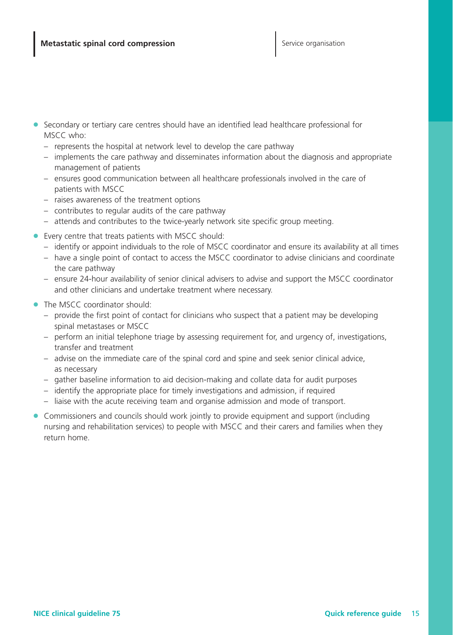- Secondary or tertiary care centres should have an identified lead healthcare professional for MSCC who:
	- represents the hospital at network level to develop the care pathway
	- implements the care pathway and disseminates information about the diagnosis and appropriate management of patients
	- ensures good communication between all healthcare professionals involved in the care of patients with MSCC
	- raises awareness of the treatment options
	- contributes to regular audits of the care pathway
	- attends and contributes to the twice-yearly network site specific group meeting.
- Every centre that treats patients with MSCC should:
	- identify or appoint individuals to the role of MSCC coordinator and ensure its availability at all times
	- have a single point of contact to access the MSCC coordinator to advise clinicians and coordinate the care pathway
	- ensure 24-hour availability of senior clinical advisers to advise and support the MSCC coordinator and other clinicians and undertake treatment where necessary.
- The MSCC coordinator should:
	- provide the first point of contact for clinicians who suspect that a patient may be developing spinal metastases or MSCC
	- perform an initial telephone triage by assessing requirement for, and urgency of, investigations, transfer and treatment
	- advise on the immediate care of the spinal cord and spine and seek senior clinical advice, as necessary
	- gather baseline information to aid decision-making and collate data for audit purposes
	- identify the appropriate place for timely investigations and admission, if required
	- liaise with the acute receiving team and organise admission and mode of transport.
- Commissioners and councils should work jointly to provide equipment and support (including nursing and rehabilitation services) to people with MSCC and their carers and families when they return home.